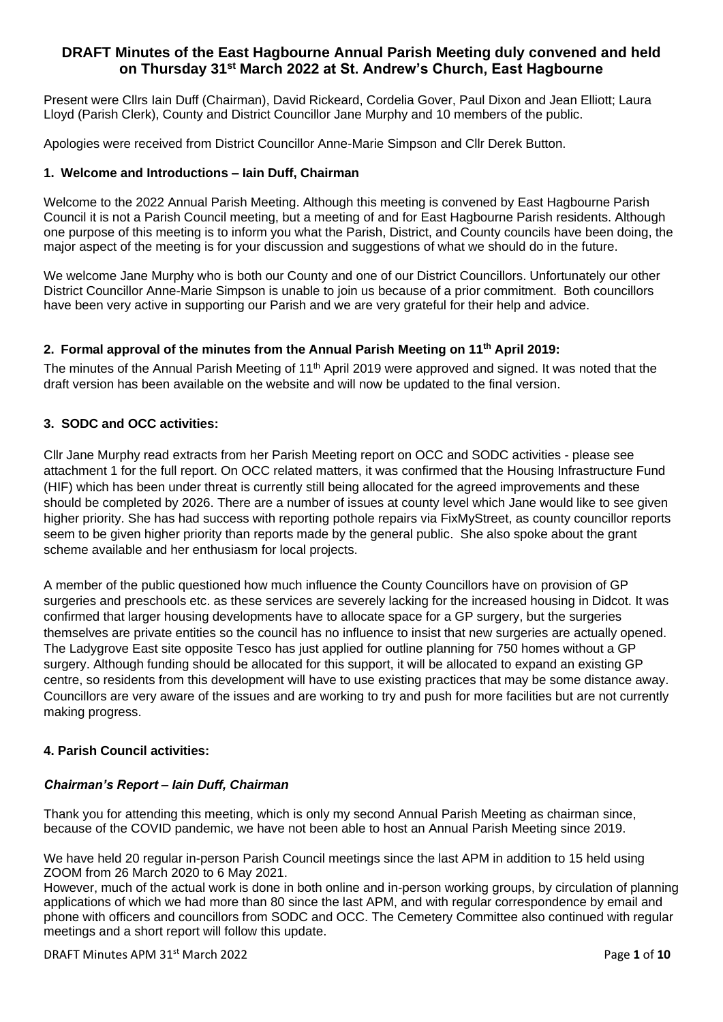# **DRAFT Minutes of the East Hagbourne Annual Parish Meeting duly convened and held on Thursday 31st March 2022 at St. Andrew's Church, East Hagbourne**

Present were Cllrs Iain Duff (Chairman), David Rickeard, Cordelia Gover, Paul Dixon and Jean Elliott; Laura Lloyd (Parish Clerk), County and District Councillor Jane Murphy and 10 members of the public.

Apologies were received from District Councillor Anne-Marie Simpson and Cllr Derek Button.

### **1. Welcome and Introductions – Iain Duff, Chairman**

Welcome to the 2022 Annual Parish Meeting. Although this meeting is convened by East Hagbourne Parish Council it is not a Parish Council meeting, but a meeting of and for East Hagbourne Parish residents. Although one purpose of this meeting is to inform you what the Parish, District, and County councils have been doing, the major aspect of the meeting is for your discussion and suggestions of what we should do in the future.

We welcome Jane Murphy who is both our County and one of our District Councillors. Unfortunately our other District Councillor Anne-Marie Simpson is unable to join us because of a prior commitment. Both councillors have been very active in supporting our Parish and we are very grateful for their help and advice.

## **2. Formal approval of the minutes from the Annual Parish Meeting on 11th April 2019:**

The minutes of the Annual Parish Meeting of 11<sup>th</sup> April 2019 were approved and signed. It was noted that the draft version has been available on the website and will now be updated to the final version.

### **3. SODC and OCC activities:**

Cllr Jane Murphy read extracts from her Parish Meeting report on OCC and SODC activities - please see attachment 1 for the full report. On OCC related matters, it was confirmed that the Housing Infrastructure Fund (HIF) which has been under threat is currently still being allocated for the agreed improvements and these should be completed by 2026. There are a number of issues at county level which Jane would like to see given higher priority. She has had success with reporting pothole repairs via FixMyStreet, as county councillor reports seem to be given higher priority than reports made by the general public. She also spoke about the grant scheme available and her enthusiasm for local projects.

A member of the public questioned how much influence the County Councillors have on provision of GP surgeries and preschools etc. as these services are severely lacking for the increased housing in Didcot. It was confirmed that larger housing developments have to allocate space for a GP surgery, but the surgeries themselves are private entities so the council has no influence to insist that new surgeries are actually opened. The Ladygrove East site opposite Tesco has just applied for outline planning for 750 homes without a GP surgery. Although funding should be allocated for this support, it will be allocated to expand an existing GP centre, so residents from this development will have to use existing practices that may be some distance away. Councillors are very aware of the issues and are working to try and push for more facilities but are not currently making progress.

# **4. Parish Council activities:**

#### *Chairman's Report – Iain Duff, Chairman*

Thank you for attending this meeting, which is only my second Annual Parish Meeting as chairman since, because of the COVID pandemic, we have not been able to host an Annual Parish Meeting since 2019.

We have held 20 regular in-person Parish Council meetings since the last APM in addition to 15 held using ZOOM from 26 March 2020 to 6 May 2021.

However, much of the actual work is done in both online and in-person working groups, by circulation of planning applications of which we had more than 80 since the last APM, and with regular correspondence by email and phone with officers and councillors from SODC and OCC. The Cemetery Committee also continued with regular meetings and a short report will follow this update.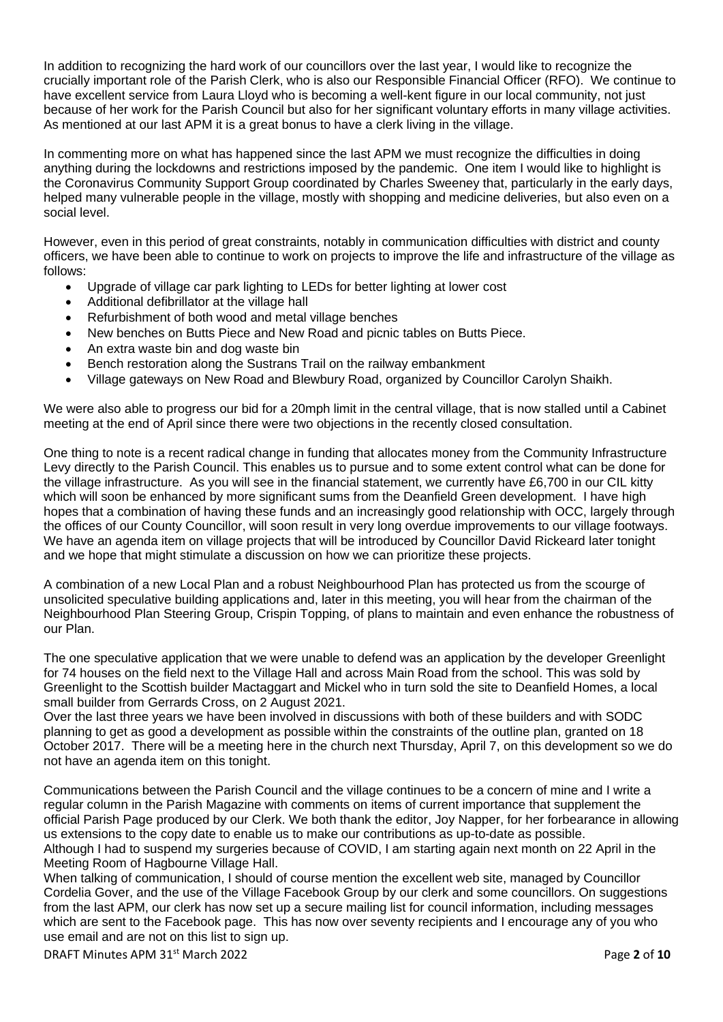In addition to recognizing the hard work of our councillors over the last year, I would like to recognize the crucially important role of the Parish Clerk, who is also our Responsible Financial Officer (RFO). We continue to have excellent service from Laura Lloyd who is becoming a well-kent figure in our local community, not just because of her work for the Parish Council but also for her significant voluntary efforts in many village activities. As mentioned at our last APM it is a great bonus to have a clerk living in the village.

In commenting more on what has happened since the last APM we must recognize the difficulties in doing anything during the lockdowns and restrictions imposed by the pandemic. One item I would like to highlight is the Coronavirus Community Support Group coordinated by Charles Sweeney that, particularly in the early days, helped many vulnerable people in the village, mostly with shopping and medicine deliveries, but also even on a social level.

However, even in this period of great constraints, notably in communication difficulties with district and county officers, we have been able to continue to work on projects to improve the life and infrastructure of the village as follows:

- Upgrade of village car park lighting to LEDs for better lighting at lower cost
- Additional defibrillator at the village hall
- Refurbishment of both wood and metal village benches
- New benches on Butts Piece and New Road and picnic tables on Butts Piece.
- An extra waste bin and dog waste bin
- Bench restoration along the Sustrans Trail on the railway embankment
- Village gateways on New Road and Blewbury Road, organized by Councillor Carolyn Shaikh.

We were also able to progress our bid for a 20mph limit in the central village, that is now stalled until a Cabinet meeting at the end of April since there were two objections in the recently closed consultation.

One thing to note is a recent radical change in funding that allocates money from the Community Infrastructure Levy directly to the Parish Council. This enables us to pursue and to some extent control what can be done for the village infrastructure. As you will see in the financial statement, we currently have £6,700 in our CIL kitty which will soon be enhanced by more significant sums from the Deanfield Green development. I have high hopes that a combination of having these funds and an increasingly good relationship with OCC, largely through the offices of our County Councillor, will soon result in very long overdue improvements to our village footways. We have an agenda item on village projects that will be introduced by Councillor David Rickeard later tonight and we hope that might stimulate a discussion on how we can prioritize these projects.

A combination of a new Local Plan and a robust Neighbourhood Plan has protected us from the scourge of unsolicited speculative building applications and, later in this meeting, you will hear from the chairman of the Neighbourhood Plan Steering Group, Crispin Topping, of plans to maintain and even enhance the robustness of our Plan.

The one speculative application that we were unable to defend was an application by the developer Greenlight for 74 houses on the field next to the Village Hall and across Main Road from the school. This was sold by Greenlight to the Scottish builder Mactaggart and Mickel who in turn sold the site to Deanfield Homes, a local small builder from Gerrards Cross, on 2 August 2021.

Over the last three years we have been involved in discussions with both of these builders and with SODC planning to get as good a development as possible within the constraints of the outline plan, granted on 18 October 2017. There will be a meeting here in the church next Thursday, April 7, on this development so we do not have an agenda item on this tonight.

Communications between the Parish Council and the village continues to be a concern of mine and I write a regular column in the Parish Magazine with comments on items of current importance that supplement the official Parish Page produced by our Clerk. We both thank the editor, Joy Napper, for her forbearance in allowing us extensions to the copy date to enable us to make our contributions as up-to-date as possible. Although I had to suspend my surgeries because of COVID, I am starting again next month on 22 April in the Meeting Room of Hagbourne Village Hall.

When talking of communication, I should of course mention the excellent web site, managed by Councillor Cordelia Gover, and the use of the Village Facebook Group by our clerk and some councillors. On suggestions from the last APM, our clerk has now set up a secure mailing list for council information, including messages which are sent to the Facebook page. This has now over seventy recipients and I encourage any of you who use email and are not on this list to sign up.

DRAFT Minutes APM 31st March 2022 Page **2** of **10**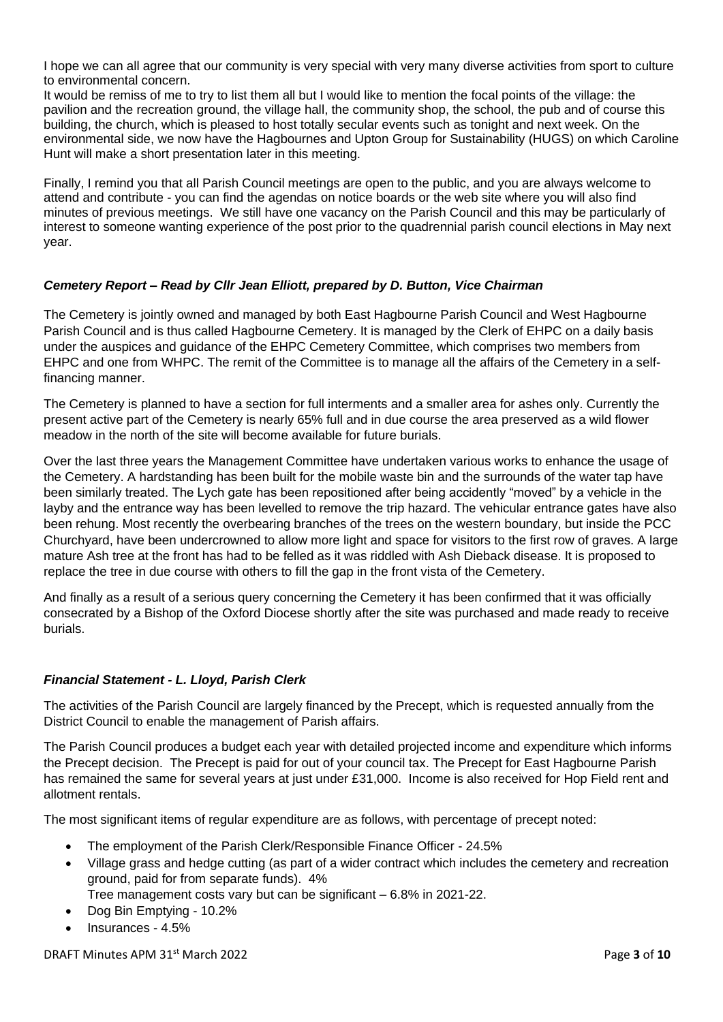I hope we can all agree that our community is very special with very many diverse activities from sport to culture to environmental concern.

It would be remiss of me to try to list them all but I would like to mention the focal points of the village: the pavilion and the recreation ground, the village hall, the community shop, the school, the pub and of course this building, the church, which is pleased to host totally secular events such as tonight and next week. On the environmental side, we now have the Hagbournes and Upton Group for Sustainability (HUGS) on which Caroline Hunt will make a short presentation later in this meeting.

Finally, I remind you that all Parish Council meetings are open to the public, and you are always welcome to attend and contribute - you can find the agendas on notice boards or the web site where you will also find minutes of previous meetings. We still have one vacancy on the Parish Council and this may be particularly of interest to someone wanting experience of the post prior to the quadrennial parish council elections in May next year.

## *Cemetery Report – Read by Cllr Jean Elliott, prepared by D. Button, Vice Chairman*

The Cemetery is jointly owned and managed by both East Hagbourne Parish Council and West Hagbourne Parish Council and is thus called Hagbourne Cemetery. It is managed by the Clerk of EHPC on a daily basis under the auspices and guidance of the EHPC Cemetery Committee, which comprises two members from EHPC and one from WHPC. The remit of the Committee is to manage all the affairs of the Cemetery in a selffinancing manner.

The Cemetery is planned to have a section for full interments and a smaller area for ashes only. Currently the present active part of the Cemetery is nearly 65% full and in due course the area preserved as a wild flower meadow in the north of the site will become available for future burials.

Over the last three years the Management Committee have undertaken various works to enhance the usage of the Cemetery. A hardstanding has been built for the mobile waste bin and the surrounds of the water tap have been similarly treated. The Lych gate has been repositioned after being accidently "moved" by a vehicle in the layby and the entrance way has been levelled to remove the trip hazard. The vehicular entrance gates have also been rehung. Most recently the overbearing branches of the trees on the western boundary, but inside the PCC Churchyard, have been undercrowned to allow more light and space for visitors to the first row of graves. A large mature Ash tree at the front has had to be felled as it was riddled with Ash Dieback disease. It is proposed to replace the tree in due course with others to fill the gap in the front vista of the Cemetery.

And finally as a result of a serious query concerning the Cemetery it has been confirmed that it was officially consecrated by a Bishop of the Oxford Diocese shortly after the site was purchased and made ready to receive burials.

## *Financial Statement - L. Lloyd, Parish Clerk*

The activities of the Parish Council are largely financed by the Precept, which is requested annually from the District Council to enable the management of Parish affairs.

The Parish Council produces a budget each year with detailed projected income and expenditure which informs the Precept decision. The Precept is paid for out of your council tax. The Precept for East Hagbourne Parish has remained the same for several years at just under £31,000. Income is also received for Hop Field rent and allotment rentals.

The most significant items of regular expenditure are as follows, with percentage of precept noted:

- The employment of the Parish Clerk/Responsible Finance Officer 24.5%
- Village grass and hedge cutting (as part of a wider contract which includes the cemetery and recreation ground, paid for from separate funds). 4%
	- Tree management costs vary but can be significant 6.8% in 2021-22.
- Dog Bin Emptying 10.2%
- Insurances 4.5%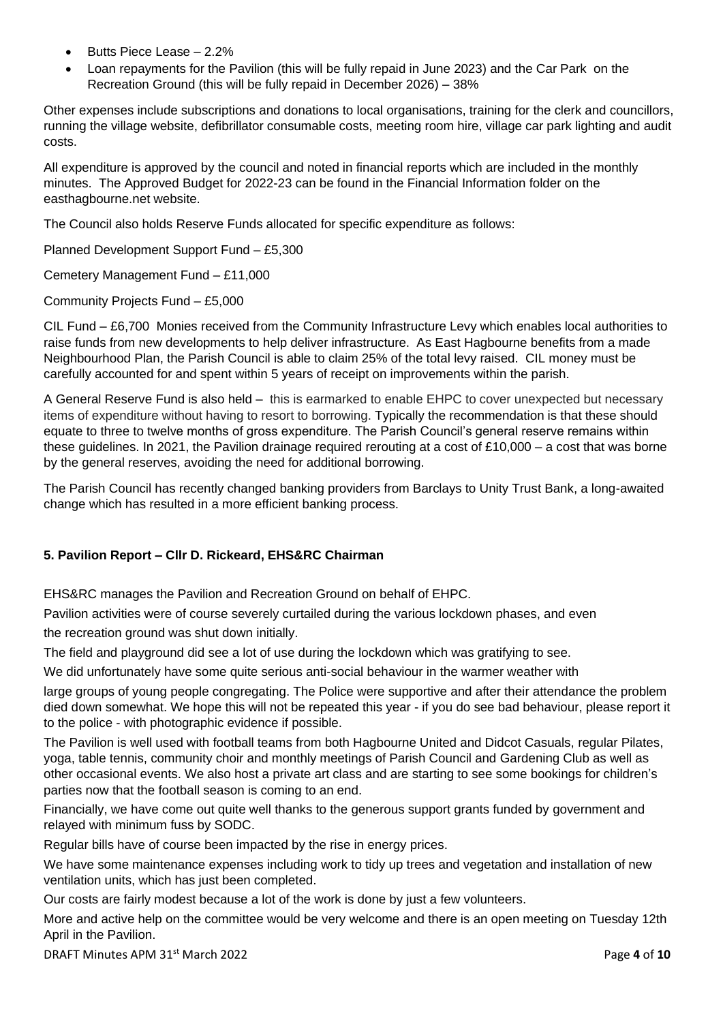- Butts Piece Lease 2.2%
- Loan repayments for the Pavilion (this will be fully repaid in June 2023) and the Car Park on the Recreation Ground (this will be fully repaid in December 2026) – 38%

Other expenses include subscriptions and donations to local organisations, training for the clerk and councillors, running the village website, defibrillator consumable costs, meeting room hire, village car park lighting and audit costs.

All expenditure is approved by the council and noted in financial reports which are included in the monthly minutes. The Approved Budget for 2022-23 can be found in the Financial Information folder on the easthagbourne.net website.

The Council also holds Reserve Funds allocated for specific expenditure as follows:

Planned Development Support Fund – £5,300

Cemetery Management Fund – £11,000

Community Projects Fund – £5,000

CIL Fund – £6,700 Monies received from the Community Infrastructure Levy which enables local authorities to raise funds from new developments to help deliver infrastructure. As East Hagbourne benefits from a made Neighbourhood Plan, the Parish Council is able to claim 25% of the total levy raised. CIL money must be carefully accounted for and spent within 5 years of receipt on improvements within the parish.

A General Reserve Fund is also held – this is earmarked to enable EHPC to cover unexpected but necessary items of expenditure without having to resort to borrowing. Typically the recommendation is that these should equate to three to twelve months of gross expenditure. The Parish Council's general reserve remains within these guidelines. In 2021, the Pavilion drainage required rerouting at a cost of £10,000 – a cost that was borne by the general reserves, avoiding the need for additional borrowing.

The Parish Council has recently changed banking providers from Barclays to Unity Trust Bank, a long-awaited change which has resulted in a more efficient banking process.

## **5. Pavilion Report – Cllr D. Rickeard, EHS&RC Chairman**

EHS&RC manages the Pavilion and Recreation Ground on behalf of EHPC.

Pavilion activities were of course severely curtailed during the various lockdown phases, and even

the recreation ground was shut down initially.

The field and playground did see a lot of use during the lockdown which was gratifying to see.

We did unfortunately have some quite serious anti-social behaviour in the warmer weather with

large groups of young people congregating. The Police were supportive and after their attendance the problem died down somewhat. We hope this will not be repeated this year - if you do see bad behaviour, please report it to the police - with photographic evidence if possible.

The Pavilion is well used with football teams from both Hagbourne United and Didcot Casuals, regular Pilates, yoga, table tennis, community choir and monthly meetings of Parish Council and Gardening Club as well as other occasional events. We also host a private art class and are starting to see some bookings for children's parties now that the football season is coming to an end.

Financially, we have come out quite well thanks to the generous support grants funded by government and relayed with minimum fuss by SODC.

Regular bills have of course been impacted by the rise in energy prices.

We have some maintenance expenses including work to tidy up trees and vegetation and installation of new ventilation units, which has just been completed.

Our costs are fairly modest because a lot of the work is done by just a few volunteers.

More and active help on the committee would be very welcome and there is an open meeting on Tuesday 12th April in the Pavilion.

DRAFT Minutes APM 31st March 2022 Page **4** of **10**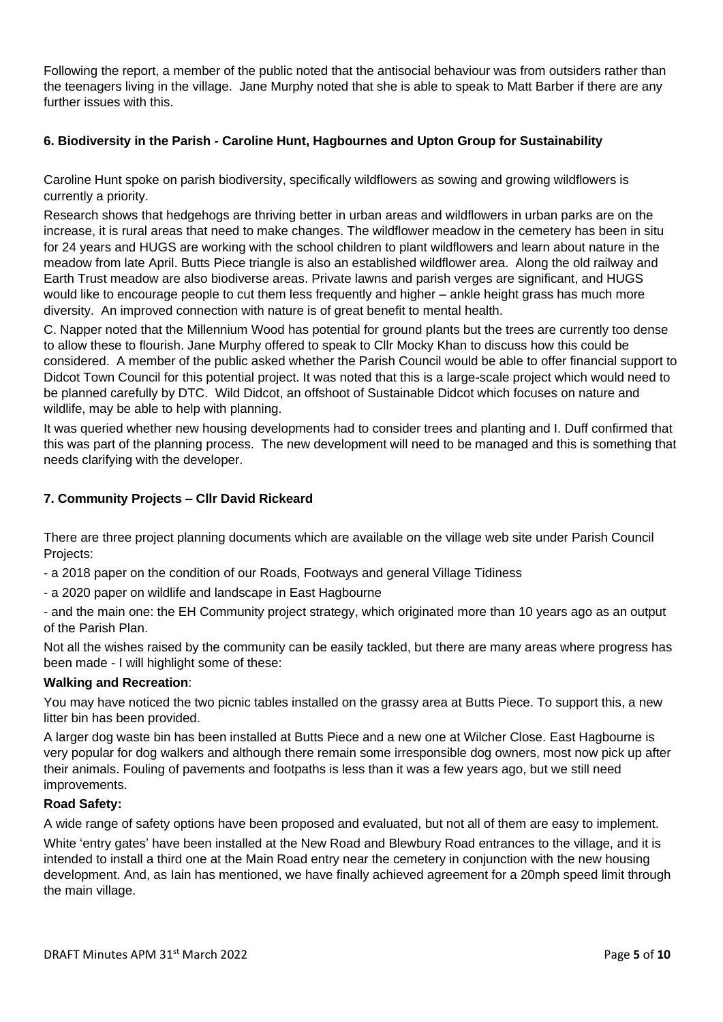Following the report, a member of the public noted that the antisocial behaviour was from outsiders rather than the teenagers living in the village. Jane Murphy noted that she is able to speak to Matt Barber if there are any further issues with this.

## **6. Biodiversity in the Parish - Caroline Hunt, Hagbournes and Upton Group for Sustainability**

Caroline Hunt spoke on parish biodiversity, specifically wildflowers as sowing and growing wildflowers is currently a priority.

Research shows that hedgehogs are thriving better in urban areas and wildflowers in urban parks are on the increase, it is rural areas that need to make changes. The wildflower meadow in the cemetery has been in situ for 24 years and HUGS are working with the school children to plant wildflowers and learn about nature in the meadow from late April. Butts Piece triangle is also an established wildflower area. Along the old railway and Earth Trust meadow are also biodiverse areas. Private lawns and parish verges are significant, and HUGS would like to encourage people to cut them less frequently and higher – ankle height grass has much more diversity. An improved connection with nature is of great benefit to mental health.

C. Napper noted that the Millennium Wood has potential for ground plants but the trees are currently too dense to allow these to flourish. Jane Murphy offered to speak to Cllr Mocky Khan to discuss how this could be considered. A member of the public asked whether the Parish Council would be able to offer financial support to Didcot Town Council for this potential project. It was noted that this is a large-scale project which would need to be planned carefully by DTC. Wild Didcot, an offshoot of Sustainable Didcot which focuses on nature and wildlife, may be able to help with planning.

It was queried whether new housing developments had to consider trees and planting and I. Duff confirmed that this was part of the planning process. The new development will need to be managed and this is something that needs clarifying with the developer.

### **7. Community Projects – Cllr David Rickeard**

There are three project planning documents which are available on the village web site under Parish Council Projects:

- a 2018 paper on the condition of our Roads, Footways and general Village Tidiness
- a 2020 paper on wildlife and landscape in East Hagbourne

- and the main one: the EH Community project strategy, which originated more than 10 years ago as an output of the Parish Plan.

Not all the wishes raised by the community can be easily tackled, but there are many areas where progress has been made - I will highlight some of these:

#### **Walking and Recreation**:

You may have noticed the two picnic tables installed on the grassy area at Butts Piece. To support this, a new litter bin has been provided.

A larger dog waste bin has been installed at Butts Piece and a new one at Wilcher Close. East Hagbourne is very popular for dog walkers and although there remain some irresponsible dog owners, most now pick up after their animals. Fouling of pavements and footpaths is less than it was a few years ago, but we still need improvements.

#### **Road Safety:**

A wide range of safety options have been proposed and evaluated, but not all of them are easy to implement. White 'entry gates' have been installed at the New Road and Blewbury Road entrances to the village, and it is intended to install a third one at the Main Road entry near the cemetery in conjunction with the new housing development. And, as Iain has mentioned, we have finally achieved agreement for a 20mph speed limit through the main village.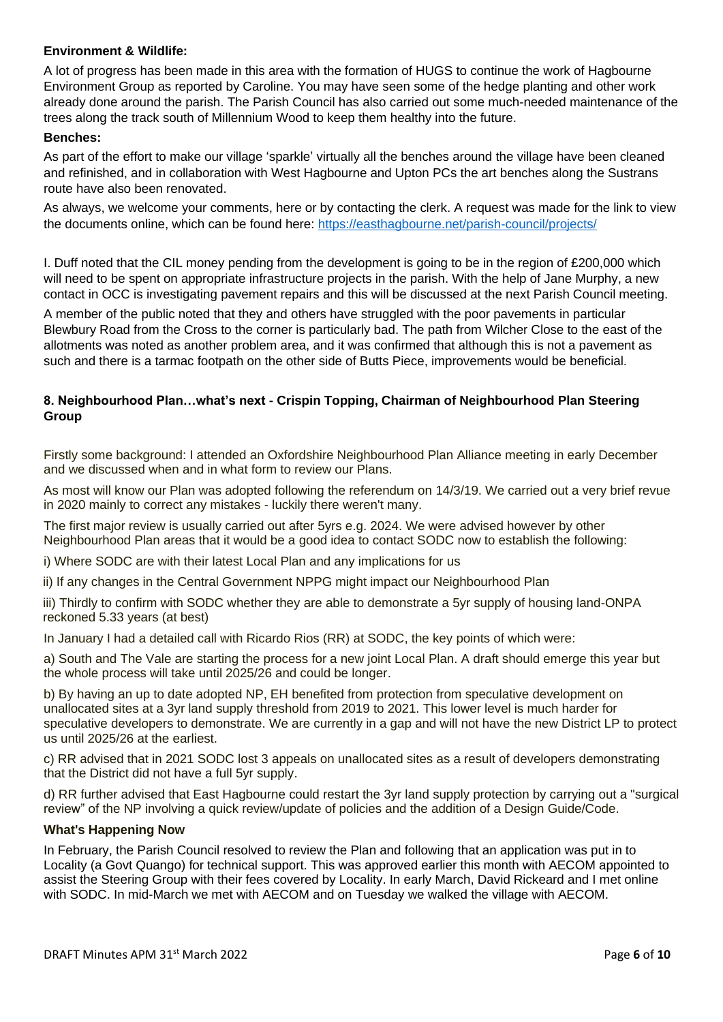#### **Environment & Wildlife:**

A lot of progress has been made in this area with the formation of HUGS to continue the work of Hagbourne Environment Group as reported by Caroline. You may have seen some of the hedge planting and other work already done around the parish. The Parish Council has also carried out some much-needed maintenance of the trees along the track south of Millennium Wood to keep them healthy into the future.

#### **Benches:**

As part of the effort to make our village 'sparkle' virtually all the benches around the village have been cleaned and refinished, and in collaboration with West Hagbourne and Upton PCs the art benches along the Sustrans route have also been renovated.

As always, we welcome your comments, here or by contacting the clerk. A request was made for the link to view the documents online, which can be found here:<https://easthagbourne.net/parish-council/projects/>

I. Duff noted that the CIL money pending from the development is going to be in the region of £200,000 which will need to be spent on appropriate infrastructure projects in the parish. With the help of Jane Murphy, a new contact in OCC is investigating pavement repairs and this will be discussed at the next Parish Council meeting.

A member of the public noted that they and others have struggled with the poor pavements in particular Blewbury Road from the Cross to the corner is particularly bad. The path from Wilcher Close to the east of the allotments was noted as another problem area, and it was confirmed that although this is not a pavement as such and there is a tarmac footpath on the other side of Butts Piece, improvements would be beneficial.

### **8. Neighbourhood Plan…what's next - Crispin Topping, Chairman of Neighbourhood Plan Steering Group**

Firstly some background: I attended an Oxfordshire Neighbourhood Plan Alliance meeting in early December and we discussed when and in what form to review our Plans.

As most will know our Plan was adopted following the referendum on 14/3/19. We carried out a very brief revue in 2020 mainly to correct any mistakes - luckily there weren't many.

The first major review is usually carried out after 5yrs e.g. 2024. We were advised however by other Neighbourhood Plan areas that it would be a good idea to contact SODC now to establish the following:

i) Where SODC are with their latest Local Plan and any implications for us

ii) If any changes in the Central Government NPPG might impact our Neighbourhood Plan

iii) Thirdly to confirm with SODC whether they are able to demonstrate a 5yr supply of housing land-ONPA reckoned 5.33 years (at best)

In January I had a detailed call with Ricardo Rios (RR) at SODC, the key points of which were:

a) South and The Vale are starting the process for a new joint Local Plan. A draft should emerge this year but the whole process will take until 2025/26 and could be longer.

b) By having an up to date adopted NP, EH benefited from protection from speculative development on unallocated sites at a 3yr land supply threshold from 2019 to 2021. This lower level is much harder for speculative developers to demonstrate. We are currently in a gap and will not have the new District LP to protect us until 2025/26 at the earliest.

c) RR advised that in 2021 SODC lost 3 appeals on unallocated sites as a result of developers demonstrating that the District did not have a full 5yr supply.

d) RR further advised that East Hagbourne could restart the 3yr land supply protection by carrying out a "surgical review" of the NP involving a quick review/update of policies and the addition of a Design Guide/Code.

#### **What's Happening Now**

In February, the Parish Council resolved to review the Plan and following that an application was put in to Locality (a Govt Quango) for technical support. This was approved earlier this month with AECOM appointed to assist the Steering Group with their fees covered by Locality. In early March, David Rickeard and I met online with SODC. In mid-March we met with AECOM and on Tuesday we walked the village with AECOM.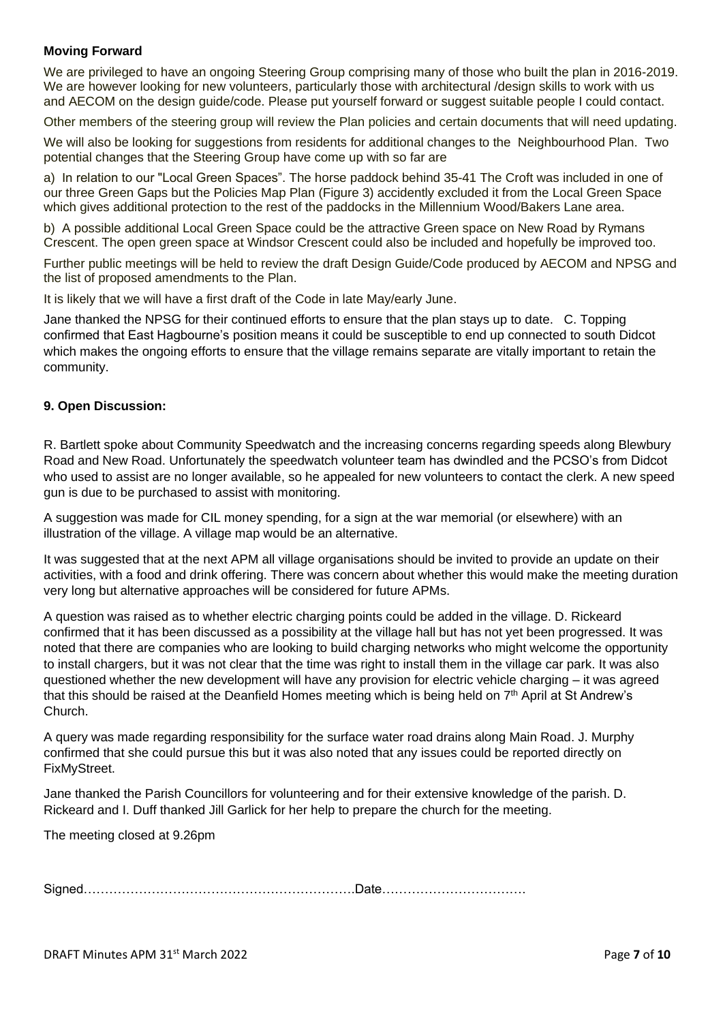### **Moving Forward**

We are privileged to have an ongoing Steering Group comprising many of those who built the plan in 2016-2019. We are however looking for new volunteers, particularly those with architectural /design skills to work with us and AECOM on the design guide/code. Please put yourself forward or suggest suitable people I could contact.

Other members of the steering group will review the Plan policies and certain documents that will need updating.

We will also be looking for suggestions from residents for additional changes to the Neighbourhood Plan. Two potential changes that the Steering Group have come up with so far are

a) In relation to our "Local Green Spaces". The horse paddock behind 35-41 The Croft was included in one of our three Green Gaps but the Policies Map Plan (Figure 3) accidently excluded it from the Local Green Space which gives additional protection to the rest of the paddocks in the Millennium Wood/Bakers Lane area.

b) A possible additional Local Green Space could be the attractive Green space on New Road by Rymans Crescent. The open green space at Windsor Crescent could also be included and hopefully be improved too.

Further public meetings will be held to review the draft Design Guide/Code produced by AECOM and NPSG and the list of proposed amendments to the Plan.

It is likely that we will have a first draft of the Code in late May/early June.

Jane thanked the NPSG for their continued efforts to ensure that the plan stays up to date. C. Topping confirmed that East Hagbourne's position means it could be susceptible to end up connected to south Didcot which makes the ongoing efforts to ensure that the village remains separate are vitally important to retain the community.

#### **9. Open Discussion:**

R. Bartlett spoke about Community Speedwatch and the increasing concerns regarding speeds along Blewbury Road and New Road. Unfortunately the speedwatch volunteer team has dwindled and the PCSO's from Didcot who used to assist are no longer available, so he appealed for new volunteers to contact the clerk. A new speed gun is due to be purchased to assist with monitoring.

A suggestion was made for CIL money spending, for a sign at the war memorial (or elsewhere) with an illustration of the village. A village map would be an alternative.

It was suggested that at the next APM all village organisations should be invited to provide an update on their activities, with a food and drink offering. There was concern about whether this would make the meeting duration very long but alternative approaches will be considered for future APMs.

A question was raised as to whether electric charging points could be added in the village. D. Rickeard confirmed that it has been discussed as a possibility at the village hall but has not yet been progressed. It was noted that there are companies who are looking to build charging networks who might welcome the opportunity to install chargers, but it was not clear that the time was right to install them in the village car park. It was also questioned whether the new development will have any provision for electric vehicle charging – it was agreed that this should be raised at the Deanfield Homes meeting which is being held on 7<sup>th</sup> April at St Andrew's Church.

A query was made regarding responsibility for the surface water road drains along Main Road. J. Murphy confirmed that she could pursue this but it was also noted that any issues could be reported directly on FixMyStreet.

Jane thanked the Parish Councillors for volunteering and for their extensive knowledge of the parish. D. Rickeard and I. Duff thanked Jill Garlick for her help to prepare the church for the meeting.

The meeting closed at 9.26pm

Signed……………………………………………………….Date…………………………….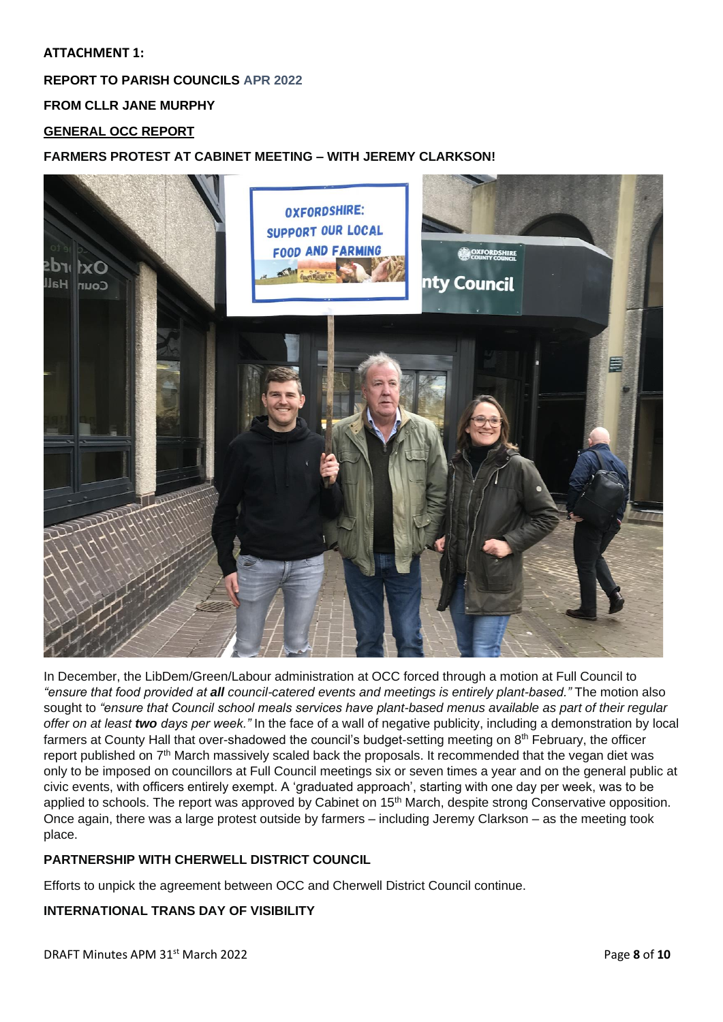## **ATTACHMENT 1:**

# **REPORT TO PARISH COUNCILS APR 2022**

**FROM CLLR JANE MURPHY**

# **GENERAL OCC REPORT**

## **FARMERS PROTEST AT CABINET MEETING – WITH JEREMY CLARKSON!**



In December, the LibDem/Green/Labour administration at OCC forced through a motion at Full Council to *"ensure that food provided at all council-catered events and meetings is entirely plant-based."* The motion also sought to *"ensure that Council school meals services have plant-based menus available as part of their regular offer on at least two days per week."* In the face of a wall of negative publicity, including a demonstration by local farmers at County Hall that over-shadowed the council's budget-setting meeting on 8<sup>th</sup> February, the officer report published on  $7<sup>th</sup>$  March massively scaled back the proposals. It recommended that the vegan diet was only to be imposed on councillors at Full Council meetings six or seven times a year and on the general public at civic events, with officers entirely exempt. A 'graduated approach', starting with one day per week, was to be applied to schools. The report was approved by Cabinet on 15<sup>th</sup> March, despite strong Conservative opposition. Once again, there was a large protest outside by farmers – including Jeremy Clarkson – as the meeting took place.

## **PARTNERSHIP WITH CHERWELL DISTRICT COUNCIL**

Efforts to unpick the agreement between OCC and Cherwell District Council continue.

## **INTERNATIONAL TRANS DAY OF VISIBILITY**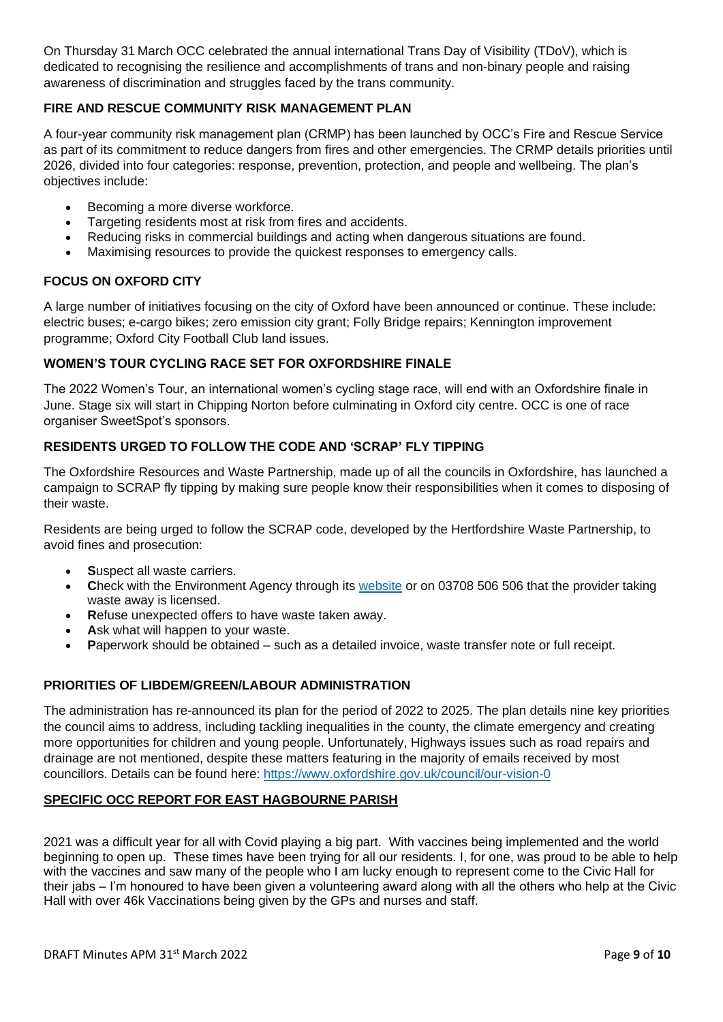On Thursday 31 March OCC celebrated the annual international Trans Day of Visibility (TDoV), which is dedicated to recognising the resilience and accomplishments of trans and non-binary people and raising awareness of discrimination and struggles faced by the trans community.

# **FIRE AND RESCUE COMMUNITY RISK MANAGEMENT PLAN**

A four-year community risk management plan (CRMP) has been launched by OCC's Fire and Rescue Service as part of its commitment to reduce dangers from fires and other emergencies. The CRMP details priorities until 2026, divided into four categories: response, prevention, protection, and people and wellbeing. The plan's objectives include:

- Becoming a more diverse workforce.
- Targeting residents most at risk from fires and accidents.
- Reducing risks in commercial buildings and acting when dangerous situations are found.
- Maximising resources to provide the quickest responses to emergency calls.

### **FOCUS ON OXFORD CITY**

A large number of initiatives focusing on the city of Oxford have been announced or continue. These include: electric buses; e-cargo bikes; zero emission city grant; Folly Bridge repairs; Kennington improvement programme; Oxford City Football Club land issues.

### **WOMEN'S TOUR CYCLING RACE SET FOR OXFORDSHIRE FINALE**

The 2022 Women's Tour, an international women's cycling stage race, will end with an Oxfordshire finale in June. Stage six will start in Chipping Norton before culminating in Oxford city centre. OCC is one of race organiser SweetSpot's sponsors.

### **RESIDENTS URGED TO FOLLOW THE CODE AND 'SCRAP' FLY TIPPING**

The Oxfordshire Resources and Waste Partnership, made up of all the councils in Oxfordshire, has launched a campaign to SCRAP fly tipping by making sure people know their responsibilities when it comes to disposing of their waste.

Residents are being urged to follow the SCRAP code, developed by the Hertfordshire Waste Partnership, to avoid fines and prosecution:

- Suspect all waste carriers.
- **C**heck with the Environment Agency through its [website](https://environment.data.gov.uk/public-register/view/search-waste-carriers-brokers) or on 03708 506 506 that the provider taking waste away is licensed.
- **R**efuse unexpected offers to have waste taken away.
- Ask what will happen to your waste.
- **P**aperwork should be obtained such as a detailed invoice, waste transfer note or full receipt.

#### **PRIORITIES OF LIBDEM/GREEN/LABOUR ADMINISTRATION**

The administration has re-announced its plan for the period of 2022 to 2025. The plan details nine key priorities the council aims to address, including tackling inequalities in the county, the climate emergency and creating more opportunities for children and young people. Unfortunately, Highways issues such as road repairs and drainage are not mentioned, despite these matters featuring in the majority of emails received by most councillors. Details can be found here:<https://www.oxfordshire.gov.uk/council/our-vision-0>

#### **SPECIFIC OCC REPORT FOR EAST HAGBOURNE PARISH**

2021 was a difficult year for all with Covid playing a big part. With vaccines being implemented and the world beginning to open up. These times have been trying for all our residents. I, for one, was proud to be able to help with the vaccines and saw many of the people who I am lucky enough to represent come to the Civic Hall for their jabs – I'm honoured to have been given a volunteering award along with all the others who help at the Civic Hall with over 46k Vaccinations being given by the GPs and nurses and staff.